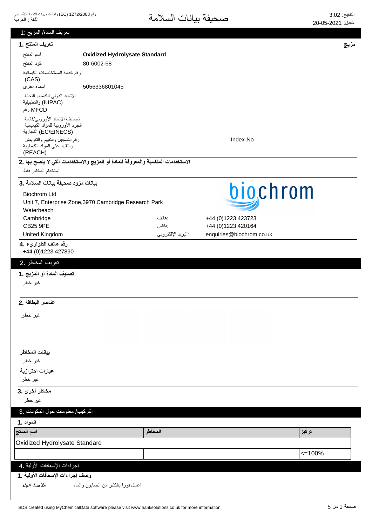| تعريف المادة/ المزيج :1                                         |                                                                                  |                            |                          |             |  |
|-----------------------------------------------------------------|----------------------------------------------------------------------------------|----------------------------|--------------------------|-------------|--|
| تعريف المنتج .1                                                 |                                                                                  |                            |                          | مزيج        |  |
| اسم المنتج                                                      | <b>Oxidized Hydrolysate Standard</b>                                             |                            |                          |             |  |
| كود المنتج                                                      | 80-6002-68                                                                       |                            |                          |             |  |
| رقم خدمة المستخلصات الكيمائية                                   |                                                                                  |                            |                          |             |  |
| (CAS)                                                           |                                                                                  |                            |                          |             |  |
| أسماء أخرى                                                      | 5056336801045                                                                    |                            |                          |             |  |
| الاتحاد الدولى للكيمياء البحتة                                  |                                                                                  |                            |                          |             |  |
| (IUPAC) والتطبيقية<br>MFCD رقم                                  |                                                                                  |                            |                          |             |  |
| تصنيف الاتحاد الأوروبي/قائمة                                    |                                                                                  |                            |                          |             |  |
| الجرد الأوروبية للمواد الكيميائية                               |                                                                                  |                            |                          |             |  |
| (EC/EINECS) التجارية                                            |                                                                                  |                            |                          |             |  |
| رقم التسجيل والتقييم والتفويض<br>والنقييد علىى المواد الكيماوية |                                                                                  |                            | Index-No                 |             |  |
| (REACH)                                                         |                                                                                  |                            |                          |             |  |
|                                                                 | الاستخدامات المناسبة والمعروفة للمادة أو المزيج والاستخدامات التي لا ينصح بها .2 |                            |                          |             |  |
| استخدام المختبر فقط                                             |                                                                                  |                            |                          |             |  |
| بيانات مزود صحيفة بيانات السلامة .3                             |                                                                                  |                            |                          |             |  |
| <b>Biochrom Ltd</b>                                             |                                                                                  |                            | biochrom                 |             |  |
|                                                                 | Unit 7, Enterprise Zone, 3970 Cambridge Research Park                            |                            |                          |             |  |
| Waterbeach                                                      |                                                                                  |                            |                          |             |  |
| Cambridge                                                       |                                                                                  | : هاتف                     | +44 (0)1223 423723       |             |  |
| <b>CB25 9PE</b>                                                 |                                                                                  | :فاكس<br>البريد الإلكتروني | +44 (0)1223 420164       |             |  |
| United Kingdom                                                  |                                                                                  |                            | enquiries@biochrom.co.uk |             |  |
| رقم هاتف الطواريء .4<br>+44 (0) 1223 427890 -                   |                                                                                  |                            |                          |             |  |
| تعريف المخاطر .2                                                |                                                                                  |                            |                          |             |  |
| تصنيف المادة أو المزيج .1                                       |                                                                                  |                            |                          |             |  |
| غير خطر                                                         |                                                                                  |                            |                          |             |  |
|                                                                 |                                                                                  |                            |                          |             |  |
| عناصر البطاقة .2                                                |                                                                                  |                            |                          |             |  |
|                                                                 |                                                                                  |                            |                          |             |  |
| غير خطر                                                         |                                                                                  |                            |                          |             |  |
|                                                                 |                                                                                  |                            |                          |             |  |
|                                                                 |                                                                                  |                            |                          |             |  |
|                                                                 |                                                                                  |                            |                          |             |  |
| بيانات المخاطر                                                  |                                                                                  |                            |                          |             |  |
| غير خطر                                                         |                                                                                  |                            |                          |             |  |
| عبارات احترازية                                                 |                                                                                  |                            |                          |             |  |
| غير خطر                                                         |                                                                                  |                            |                          |             |  |
| مخاطر أخرى .3                                                   |                                                                                  |                            |                          |             |  |
| غير خطر                                                         |                                                                                  |                            |                          |             |  |
| التركيب/ معلومات حول المكونات .3                                |                                                                                  |                            |                          |             |  |
| المواد .1                                                       |                                                                                  |                            |                          |             |  |
| اسم المنتج                                                      |                                                                                  | المخاطر                    |                          | تركيز       |  |
| Oxidized Hydrolysate Standard                                   |                                                                                  |                            |                          |             |  |
|                                                                 |                                                                                  |                            |                          | $\leq$ 100% |  |
| إجراءات الإسعافات الأولية .4                                    |                                                                                  |                            |                          |             |  |
| وصف إجراءات الإسعافات الأولية ـ1                                |                                                                                  |                            |                          |             |  |
| اغسل فورأ بالكثير من الصابون والماء<br>ملامسة الجلد             |                                                                                  |                            |                          |             |  |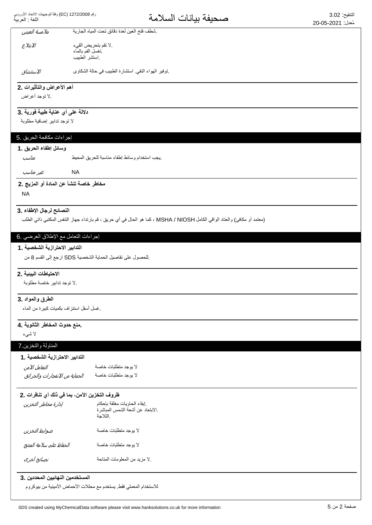| ملامسة العينين                         | شطف فتح العين لعدة دقائق تحت المياه الجارية                                                                               |  |
|----------------------------------------|---------------------------------------------------------------------------------------------------------------------------|--|
| الابتلاع                               | .لا تقم بتحريض القيء                                                                                                      |  |
|                                        | نغسل الفم بالماء<br>استشر الطبيب                                                                                          |  |
|                                        |                                                                                                                           |  |
| الاستنشاق                              | نوفير الهواء النقي استشارة الطبيب في حالة الشكاوى                                                                         |  |
| أهم الأعراض والتأثيرات .2              |                                                                                                                           |  |
| .لا توجد أعراض                         |                                                                                                                           |  |
| دلالة على أي عناية طبية فورية .3       |                                                                                                                           |  |
| لا توجد تدابير إضافية مطلوبة           |                                                                                                                           |  |
| إجراءات مكافحة الحريق .5               |                                                                                                                           |  |
| وسائل إطفاء الحريق .1                  |                                                                                                                           |  |
| مناسب                                  | يجب استخدام وسائط إطفاء مناسبة للحريق المحيط                                                                              |  |
|                                        |                                                                                                                           |  |
| غیر مناسب                              | <b>NA</b>                                                                                                                 |  |
| مخاطر خاصة تنشأ عن المادة أو المزيج .2 |                                                                                                                           |  |
|                                        |                                                                                                                           |  |
| <b>NA</b>                              |                                                                                                                           |  |
|                                        |                                                                                                                           |  |
| النصائح لرجال الإطفاء .3               | (معتمد أو مكافئ) والعتاد الواقي الكامل MSHA / NIOSH ، كما هو الحال في أي حريق ، قم بارتداء جهاز التنفس المكتبي ذاتي الطلب |  |
|                                        |                                                                                                                           |  |
| إجراءات النعامل مع الإطلاق العرضي .6   |                                                                                                                           |  |
| التدابير الاحترازية الشخصية . 1        |                                                                                                                           |  |
|                                        | للحصول على تفاصيل الحماية الشخصية SDS ارجع إلى القسم 8 من                                                                 |  |
| الاحتياطات البينية .2                  |                                                                                                                           |  |
| .لا توجد تدابير خاصة مطلوبة            |                                                                                                                           |  |
|                                        |                                                                                                                           |  |
| الطرق والمواد .3                       |                                                                                                                           |  |
| فسل أسفل استنزاف بكميات كبيرة من الماء |                                                                                                                           |  |
| منع حدوث المخاطر الثانوية .4           |                                                                                                                           |  |
| لا شىء                                 |                                                                                                                           |  |
| المناولة والنخزين 7                    |                                                                                                                           |  |
| التدابير الاحترازية الشخصية .1         |                                                                                                                           |  |
| التعامل الآمن                          | لا يوجد متطلبات خاصة                                                                                                      |  |
| الحماية من الانفجارات والحرائق         | لا يوجد متطلبات خاصة                                                                                                      |  |
|                                        |                                                                                                                           |  |
| إدارة مخاطر التخزين                    | ظروف التخزين الآمن، بما في ذلك أي تنافرات .2<br>إبقاء الحاويات مغلقة بإحكام                                               |  |
|                                        | الابتعاد عن أشعة الشمس المباشرة<br>الثلاجة                                                                                |  |
|                                        |                                                                                                                           |  |
| ضوابط التخزين                          | لا يوجد متطلبات خاصة                                                                                                      |  |
| الحفاظ على سلامة المنتج                | لا يوجد متطلبات خاصة                                                                                                      |  |
| نصائح أخرى                             | .لا مزيد من المعلومات المتاحة                                                                                             |  |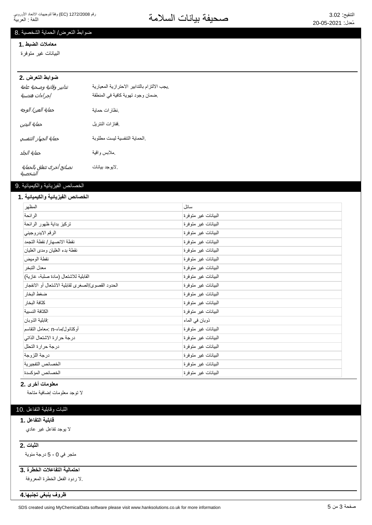### ضوابط التعرض/ الحماية الشخصية .8

#### معاملات الضبط .1

البيانات غير متوفرة

### **ضوابط التعرض .2**

| تدابير وقائية وصحية عامة<br>إجراءات هندسية | يجب الالتزام بالتدابير الاحترازية المعيارية<br>ضمان وجود تهوية كافية في المنطقة |
|--------------------------------------------|---------------------------------------------------------------------------------|
| حماية العين/ الوجه                         | نظارات حماية                                                                    |
| حماية اليدين                               | ففازات النتريل                                                                  |
| حماية الجهاز التنفسي                       | الحماية التنفسية ليست مطلوبة                                                    |
| حماية الجلد                                | ملابس واقية                                                                     |
| نصائح أخرى تتعلق بالحماية<br>الشخصية       | لايوجد بيانات                                                                   |

### الخصائص الفيزيائية والكيميائية .9

#### الخصائص الفيزيائية والكيميائية **ـ 1**

| المظهر                                            | سائل                |
|---------------------------------------------------|---------------------|
| الرائحة                                           | البيانات غير متوفرة |
| تركيز بداية ظهور الرائحة                          | البيانات غير متوفرة |
| الرقم الايدر وجيني                                | البيانات غير متوفرة |
| نقطة الانصهار / نقطة التجمد                       | البيانات غير متوفرة |
| نقطة بدء الغليان ومدى الغليان                     | البيانات غير متوفرة |
| نقطة الوميض                                       | البيانات غير متوفرة |
| معدل التبخر                                       | البيانات غير متوفرة |
| القابلية للاشتعال (مادة صلبة، غازية)              | البيانات غير متوفرة |
| الحدود القصوى/الصغرى لقابلية الاشتعال أو الانفجار | البيانات غير متوفرة |
| ضغط البخار                                        | البيانات غير متوفرة |
| كثافة البخار                                      | البيانات غير متوفرة |
| الكثافة النسبية                                   | البيانات غير متوفرة |
| فابلية الذوبان                                    | ذوبان في الماء      |
| أوكتانول/ماء-n :معامل التقاسم                     | البيانات غير متوفرة |
| درجة حرارة الاشتعال الذاتي                        | البيانات غير متوفرة |
| درجة حرارة التحلل                                 | البيانات غير متوفرة |
| درجة اللزوجة                                      | البيانات غير متوفرة |
| الخصائص التفجيرية                                 | البيانات غير متوفرة |
| الخصائص المؤكسدة                                  | البيانات غير متوفرة |

#### **معلومات أخرى .2**

لا توجد معلومات إضافية متاحة

## الثبات وقابلية التفاعل .10

#### قابلية التفاعل . **1**

لا بوجد تفاعل غیر عادي

### **2.** الثبات

متجر في 0 - 5 درجة مئوية

# احتمالية التفاعلات الخطرة .3

لا ردود الفعل الخطرة المعروفة.

<del>ظروف ينبغي تجنبها 4</del>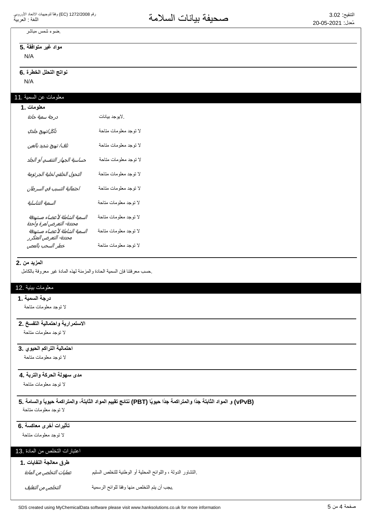# ضوء شمس مباشر

مواد غير متوافقة .5

N/A

### N/A نواتج التحلل الخطرة .6

# معلومات عن السمية .11

| معلومات .1                                                |                       |
|-----------------------------------------------------------|-----------------------|
| درجة سمية حادة                                            | لايوجد بيانات         |
| تآكل/تهيج جلدي                                            | لا توجد معلومات متاحة |
| تلف/ تهيج شديد بالعين                                     | لا توجد معلومات متاحة |
| حساسية الجهاز التنفسي أو الجلد                            | لا توجد معلومات متاحة |
| التحول الخلقي لخلية الجرثومة                              | لا توجد معلومات متاحة |
| احتمالية التسبب في السرطان                                | لا توجد معلومات متاحة |
| السمية التناسلية                                          | لا توجد معلومات متاحة |
| السمية الشاملة لأعضاء مستهدفة<br>محددة- التعرض لمرة واحدة | لا توجد معلومات متاحة |
| السمية الشاملة لأعضاء مستهدفة<br>محددة- التعرض المتكرر    | لا توجد معلومات متاحة |
| خطر السحب بالمص                                           | لا توجد معلومات متاحة |

#### **المزيد من .2**

حسب معرفتنا فإن السمية الحادة والمزمنة لهذه المادة غير معروفة بالكامل

#### معلومات بيئية .12

#### **درجة السمية .1**

لا نوجد معلومات متاحة

### الاستمرارية واحتمالية التفسخ .2

لا توجد معلومات متاحة

### ا**حتمالية التراكم الحيوي .3**

لا توجد معلومات متاحة

### مدى سهولة الحركة والتربة **.4**

لا توجد معلومات متاحة

### **5. ΔϣΎγϟϭ˱ΎϳϭϳΣΔϣϛέΗϣϟϭˬΔΗΑΎΛϟΩϭϣϟϡϳϳϘΗΞΎΗϧ (PBT) Ύ˱ϳϭϳΣ˱ΩΟΔϣϛέΗϣϟϭ˱ΩΟΔΗΑΎΛϟΩϭϣϟϭ (vPvB)** لا توجد معلومات متاحة

تأثيرات أخرى معاكسة .6

لا توجد معلومات متاحة

### اعتبارات التخلص من المادة .13

### طرق معالجة النفايات .1

عمليات التخلص من المادة

.التشاور الدولة ، واللوائح المحلية أو الوطنية للتخلص السليم

ͮ௬Ͼ̲௪̺͙ͳ̻ͧϾ̞௪̺͙ ΔϳϣγέϟϭϠϟΎϘϓϭΎϬϧϣιϠΧΗϟϡΗϳϥΏΟϳ.